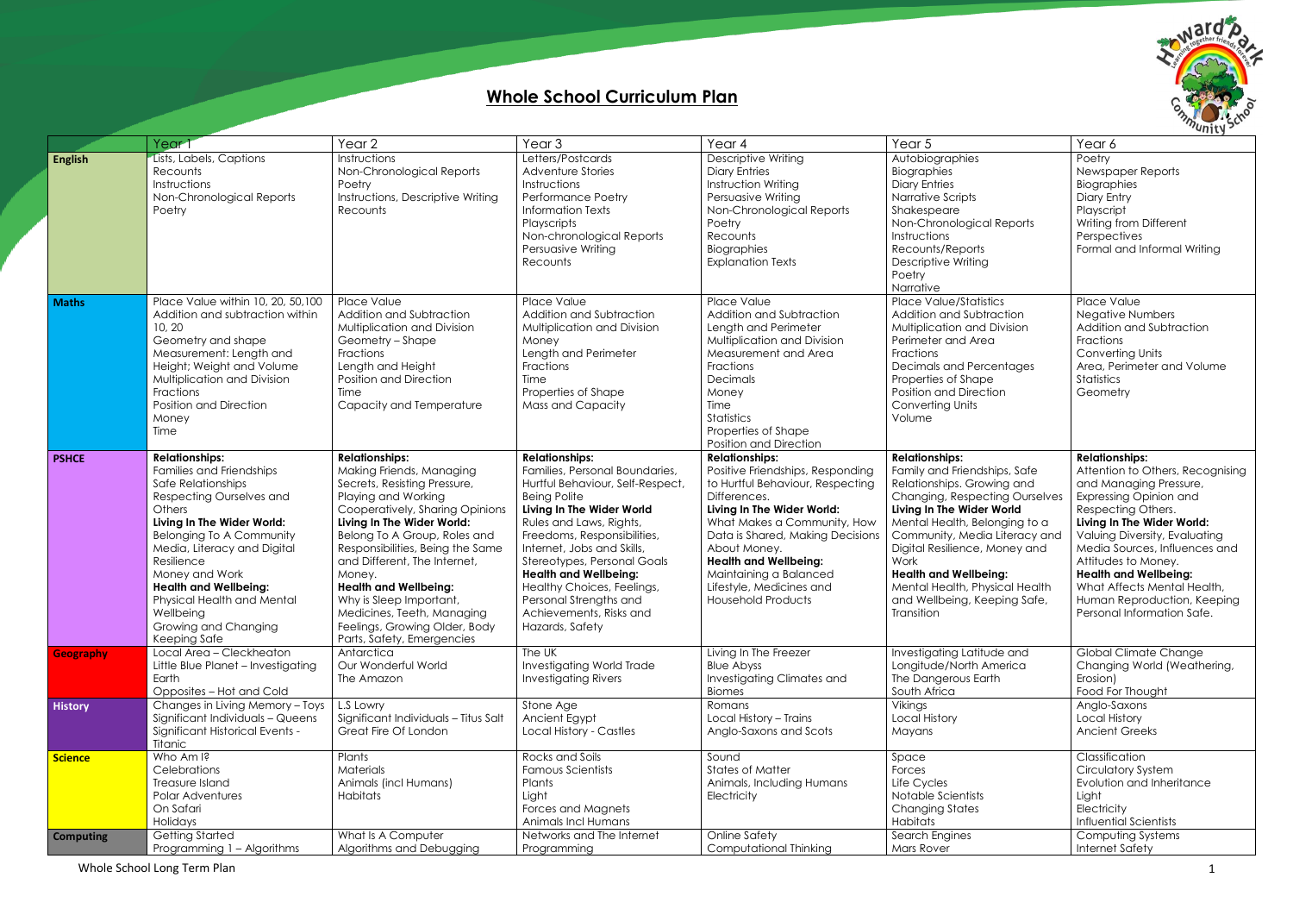## **Whole School Curriculum Plan**

|                  | Year                               | Year <sub>2</sub>                    | Year <sub>3</sub>                | Year 4                           | Year 5                                | Year 6                           |
|------------------|------------------------------------|--------------------------------------|----------------------------------|----------------------------------|---------------------------------------|----------------------------------|
| <b>English</b>   | Lists, Labels, Captions            | Instructions                         | Letters/Postcards                | Descriptive Writing              | Autobiographies                       | Poetry                           |
|                  | Recounts                           | Non-Chronological Reports            | Adventure Stories                | <b>Diary Entries</b>             | Biographies                           | Newspaper Reports                |
|                  | Instructions                       | Poetry                               | Instructions                     | Instruction Writing              | <b>Diary Entries</b>                  | Biographies                      |
|                  | Non-Chronological Reports          | Instructions, Descriptive Writing    | <b>Performance Poetry</b>        | Persuasive Writing               | Narrative Scripts                     | Diary Entry                      |
|                  | Poetry                             | Recounts                             | <b>Information Texts</b>         | Non-Chronological Reports        | Shakespeare                           | Playscript                       |
|                  |                                    |                                      | Playscripts                      | Poetry                           | Non-Chronological Reports             | Writing from Different           |
|                  |                                    |                                      |                                  | Recounts                         | Instructions                          |                                  |
|                  |                                    |                                      | Non-chronological Reports        |                                  |                                       | Perspectives                     |
|                  |                                    |                                      | Persuasive Writing               | Biographies                      | Recounts/Reports                      | Formal and Informal Writing      |
|                  |                                    |                                      | Recounts                         | <b>Explanation Texts</b>         | <b>Descriptive Writing</b>            |                                  |
|                  |                                    |                                      |                                  |                                  | Poetry                                |                                  |
|                  |                                    |                                      |                                  |                                  | Narrative                             |                                  |
| <b>Maths</b>     | Place Value within 10, 20, 50, 100 | Place Value                          | Place Value                      | Place Value                      | <b>Place Value/Statistics</b>         | Place Value                      |
|                  | Addition and subtraction within    | Addition and Subtraction             | Addition and Subtraction         | Addition and Subtraction         | Addition and Subtraction              | <b>Negative Numbers</b>          |
|                  | 10, 20                             | Multiplication and Division          | Multiplication and Division      | Length and Perimeter             | Multiplication and Division           | Addition and Subtraction         |
|                  | Geometry and shape                 | Geometry - Shape                     | Money                            | Multiplication and Division      | Perimeter and Area                    | Fractions                        |
|                  | Measurement: Length and            | Fractions                            | Length and Perimeter             | Measurement and Area             | Fractions                             | <b>Converting Units</b>          |
|                  | Height; Weight and Volume          | Length and Height                    | Fractions                        | Fractions                        | <b>Decimals and Percentages</b>       | Area, Perimeter and Volume       |
|                  | Multiplication and Division        | <b>Position and Direction</b>        | Time                             | Decimals                         | Properties of Shape                   | Statistics                       |
|                  | Fractions                          | Time                                 | Properties of Shape              | Money                            | Position and Direction                | Geometry                         |
|                  | Position and Direction             | Capacity and Temperature             | Mass and Capacity                | Time                             | <b>Converting Units</b>               |                                  |
|                  | Money                              |                                      |                                  | <b>Statistics</b>                | Volume                                |                                  |
|                  | Time                               |                                      |                                  | Properties of Shape              |                                       |                                  |
|                  |                                    |                                      |                                  | <b>Position and Direction</b>    |                                       |                                  |
| <b>PSHCE</b>     | <b>Relationships:</b>              | <b>Relationships:</b>                | <b>Relationships:</b>            | <b>Relationships:</b>            | <b>Relationships:</b>                 | <b>Relationships:</b>            |
|                  | Families and Friendships           | Making Friends, Managing             | Families, Personal Boundaries,   | Positive Friendships, Responding | Family and Friendships, Safe          | Attention to Others, Recognising |
|                  |                                    |                                      |                                  |                                  |                                       |                                  |
|                  | Safe Relationships                 | Secrets, Resisting Pressure,         | Hurtful Behaviour, Self-Respect, | to Hurtful Behaviour, Respecting | Relationships. Growing and            | and Managing Pressure,           |
|                  | Respecting Ourselves and           | Playing and Working                  | <b>Being Polite</b>              | Differences.                     | <b>Changing, Respecting Ourselves</b> | Expressing Opinion and           |
|                  | <b>Others</b>                      | Cooperatively, Sharing Opinions      | Living In The Wider World        | Living In The Wider World:       | Living In The Wider World             | Respecting Others.               |
|                  | Living In The Wider World:         | Living In The Wider World:           | Rules and Laws, Rights,          | What Makes a Community, How      | Mental Health, Belonging to a         | Living In The Wider World:       |
|                  | <b>Belonging To A Community</b>    | Belong To A Group, Roles and         | Freedoms, Responsibilities,      | Data is Shared, Making Decisions | Community, Media Literacy and         | Valuing Diversity, Evaluating    |
|                  | Media, Literacy and Digital        | Responsibilities, Being the Same     | Internet, Jobs and Skills,       | About Money.                     | Digital Resilience, Money and         | Media Sources, Influences and    |
|                  | Resilience                         | and Different, The Internet,         | Stereotypes, Personal Goals      | <b>Health and Wellbeing:</b>     | Work                                  | Attitudes to Money.              |
|                  | Money and Work                     | Money.                               | <b>Health and Wellbeing:</b>     | Maintaining a Balanced           | <b>Health and Wellbeing:</b>          | <b>Health and Wellbeing:</b>     |
|                  | <b>Health and Wellbeing:</b>       | <b>Health and Wellbeing:</b>         | Healthy Choices, Feelings,       | Lifestyle, Medicines and         | Mental Health, Physical Health        | What Affects Mental Health,      |
|                  | Physical Health and Mental         | Why is Sleep Important,              | Personal Strengths and           | <b>Household Products</b>        | and Wellbeing, Keeping Safe,          | Human Reproduction, Keeping      |
|                  | Wellbeing                          | Medicines, Teeth, Managing           | Achievements, Risks and          |                                  | Transition                            | Personal Information Safe.       |
|                  | Growing and Changing               | Feelings, Growing Older, Body        | Hazards, Safety                  |                                  |                                       |                                  |
|                  | Keeping Safe                       | Parts, Safety, Emergencies           |                                  |                                  |                                       |                                  |
| <b>Geography</b> | Local Area - Cleckheaton           | Antarctica                           | The UK                           | Living In The Freezer            | Investigating Latitude and            | <b>Global Climate Change</b>     |
|                  | Little Blue Planet - Investigating | Our Wonderful World                  | Investigating World Trade        | <b>Blue Abyss</b>                | Longitude/North America               | Changing World (Weathering,      |
|                  | Earth                              | The Amazon                           | <b>Investigating Rivers</b>      | Investigating Climates and       | The Dangerous Earth                   | Erosion)                         |
|                  | Opposites - Hot and Cold           |                                      |                                  | <b>Biomes</b>                    | South Africa                          | Food For Thought                 |
| <b>History</b>   | Changes in Living Memory - Toys    | L.S Lowry                            | Stone Age                        | Romans                           | Vikings                               | Anglo-Saxons                     |
|                  | Significant Individuals - Queens   | Significant Individuals - Titus Salt | Ancient Egypt                    | Local History - Trains           | Local History                         | <b>Local History</b>             |
|                  | Significant Historical Events -    | Great Fire Of London                 | <b>Local History - Castles</b>   | Anglo-Saxons and Scots           |                                       | <b>Ancient Greeks</b>            |
|                  | <b>Titanic</b>                     |                                      |                                  |                                  | Mayans                                |                                  |
|                  |                                    |                                      |                                  |                                  |                                       |                                  |
| <b>Science</b>   | Who Am I?                          | Plants                               | Rocks and Soils                  | Sound                            | Space                                 | Classification                   |
|                  | Celebrations                       | Materials                            | Famous Scientists                | <b>States of Matter</b>          | Forces                                | <b>Circulatory System</b>        |
|                  | Treasure Island                    | Animals (incl Humans)                | Plants                           | Animals, Including Humans        | Life Cycles                           | Evolution and Inheritance        |
|                  | <b>Polar Adventures</b>            | Habitats                             | Light                            | Electricity                      | Notable Scientists                    | Light                            |
|                  | On Safari                          |                                      | Forces and Magnets               |                                  | <b>Changing States</b>                | Electricity                      |
|                  | Holidays                           |                                      | Animals Incl Humans              |                                  | Habitats                              | Influential Scientists           |
| <b>Computing</b> | Getting Started                    | What Is A Computer                   | Networks and The Internet        | Online Safety                    | Search Engines                        | Computing Systems                |
|                  | Programming 1 - Algorithms         | Algorithms and Debugging             | Programming                      | <b>Computational Thinking</b>    | Mars Rover                            | <b>Internet Safety</b>           |